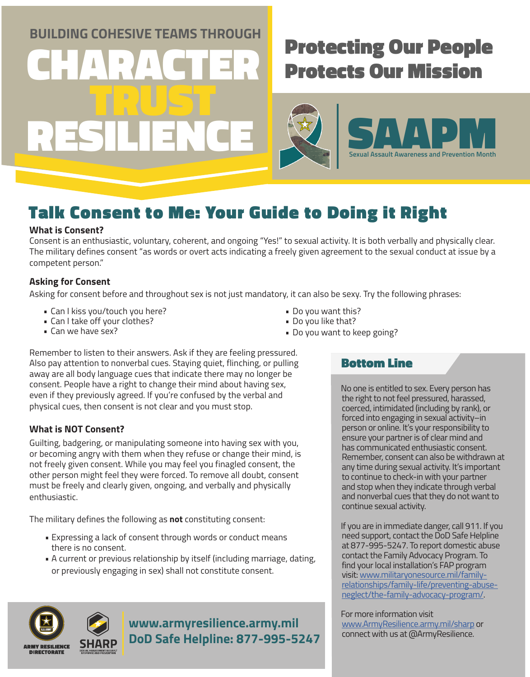**BUILDING COHESIVE TEAMS THROUGH** 

CHARACTER

## Protecting Our People Protects Our Mission

TRUST RESILIENCE



### Talk Consent to Me: Your Guide to Doing it Right

### **What is Consent?**

Consent is an enthusiastic, voluntary, coherent, and ongoing "Yes!" to sexual activity. It is both verbally and physically clear. The military defines consent "as words or overt acts indicating a freely given agreement to the sexual conduct at issue by a competent person."

### **Asking for Consent**

Asking for consent before and throughout sex is not just mandatory, it can also be sexy. Try the following phrases:

- Can I kiss you/touch you here?
- Can I take off your clothes?
- Can we have sex?
- Do you want this?
- Do you like that?
- Do you want to keep going?

Remember to listen to their answers. Ask if they are feeling pressured. Also pay attention to nonverbal cues. Staying quiet, flinching, or pulling away are all body language cues that indicate there may no longer be consent. People have a right to change their mind about having sex, even if they previously agreed. If you're confused by the verbal and physical cues, then consent is not clear and you must stop.

### **What is NOT Consent?**

Guilting, badgering, or manipulating someone into having sex with you, or becoming angry with them when they refuse or change their mind, is not freely given consent. While you may feel you finagled consent, the other person might feel they were forced. To remove all doubt, consent must be freely and clearly given, ongoing, and verbally and physically enthusiastic.

The military defines the following as **not** constituting consent:

- Expressing a lack of consent through words or conduct means there is no consent.
- A current or previous relationship by itself (including marriage, dating, or previously engaging in sex) shall not constitute consent.



**www.armyresilience.army.mil DoD Safe Helpline: 877-995-5247**

### Bottom Line

No one is entitled to sex. Every person has the right to not feel pressured, harassed, coerced, intimidated (including by rank), or forced into engaging in sexual activity–in person or online. It's your responsibility to ensure your partner is of clear mind and has communicated enthusiastic consent. Remember, consent can also be withdrawn at any time during sexual activity. It's important to continue to check-in with your partner and stop when they indicate through verbal and nonverbal cues that they do not want to continue sexual activity.

If you are in immediate danger, call 911. If you need support, contact the DoD Safe Helpline at 877-995-5247. To report domestic abuse contact the Family Advocacy Program. To find your local installation's FAP program visit: [www.militaryonesource.mil/family](http://www.militaryonesource.mil/family-relationships/family-life/preventing-abuse-neglect/the-family-advocacy-program/)[relationships/family-life/preventing-abuse](http://www.militaryonesource.mil/family-relationships/family-life/preventing-abuse-neglect/the-family-advocacy-program/)[neglect/the-family-advocacy-program/.](http://www.militaryonesource.mil/family-relationships/family-life/preventing-abuse-neglect/the-family-advocacy-program/)

For more information visit [www.ArmyResilience.army.mil/sharp](https://www.armyresilience.army.mil/sharp/) or connect with us at @ArmyResilience.